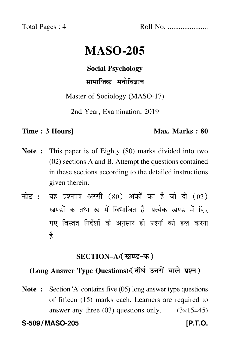Total Pages : 4 Roll No. ......................

# **MASO-205**

**Social Psychology**

सामाजिक मनोविज्ञान

Master of Sociology (MASO-17)

2nd Year, Examination, 2019

### **Time : 3 Hours]** Max. Marks : 80

- **Note :** This paper is of Eighty (80) marks divided into two (02) sections A and B. Attempt the questions contained in these sections according to the detailed instructions given therein.
- नोट : यह प्रश्नपत्र अस्सी (80) अंकों का है जो दो (02) खण्डों क तथा ख में विभाजित है। प्रत्येक खण्ड में दिए गए विस्तृत निर्देशों के अनुसार ही प्रश्नों को हल करन<mark>ा</mark> है।

# <u>SECTION–A/( खण्ड-क )</u>

# (Long Answer Type Questions)/( दीर्घ उत्तरों वाले प्रश्न )

**Note :** Section 'A' contains five (05) long answer type questions of fifteen (15) marks each. Learners are required to answer any three  $(03)$  questions only.  $(3\times15=45)$ 

**S-509 / MASO-205 [P.T.O.**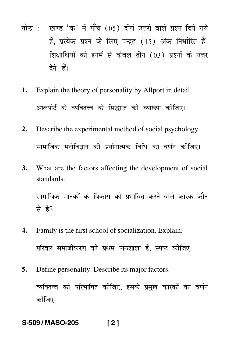- <mark>नोट</mark> : खण्ड 'क' में पाँच (05) दीर्घ उत्तरों वाले प्रश्न दिये गये हैं, प्रत्येक प्रश्न के लिए पन्द्रह (15) अंक निर्धारित हैं। शिक्षार्थियों को इनमें से केवल तीन (03) प्रश्नों के उत्तर देने हैं।
- **1.** Explain the theory of personality by Allport in detail. आलपोर्ट के व्यक्तित्त्व के सिद्धान्त की व्याख्या कीजिए।
- **2.** Describe the experimental method of social psychology. सामाजिक मनोविज्ञान की प्रयोगात्मक विधि का वर्णन कीजिए।
- **3.** What are the factors affecting the development of social standards.

सामाजिक मानकों के विकास को प्रभावित करने वाले कारक कौन -से हैं?

- **4.** Family is the first school of socialization. Explain. परिवार समाजीकरण की प्रथम पाठशाला हैं, स्पष्ट कीजिए। -
- **5.** Define personality. Describe its major factors.

व्यक्तित्त्व को परिभाषित कीजिए, इसके प्रमुख कारकों का वर्णन -कीजिए।

## **S-509 / MASO-205 [ 2 ]**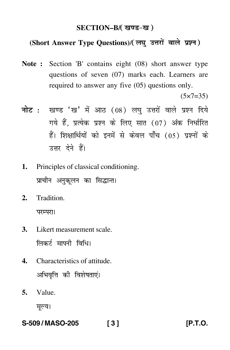# SECTION–B/( खण्ड-ख )

# (Short Answer Type Questions)/(लघु उत्तरों वाले प्रश्न)

**Note :** Section 'B' contains eight (08) short answer type questions of seven (07) marks each. Learners are required to answer any five (05) questions only.

 $(5 \times 7 = 35)$ 

- <mark>नोट</mark> : खण्ड 'ख' में आठ (08) लघु उत्तरों वाले प्रश्न दिये गये हैं, प्रत्येक प्रश्न के लिए सात (07) अंक निर्धारित हैं। शिक्षार्थियों को इनमें से केवल पाँच (05) प्रश्नों के उत्तर देने हैं।
- **1.** Principles of classical conditioning. प्राचीन अनुकूलन का सिद्<mark>धा</mark>न्त।
- **2.** Tradition. परम्परा।
- **3.** Likert measurement scale. लिकर्ट मापनी विधि।
- **4.** Characteristics of attitude. अभिवृत्ति की विशेषताएं।
- **5.** Value.

मूल्य।

**S-509 / MASO-205 [ 3 ] [P.T.O.**